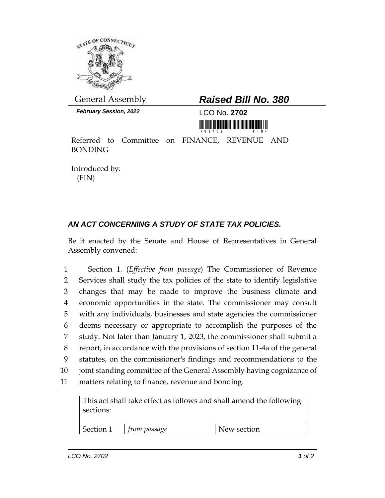

*February Session, 2022* LCO No. **2702**

## General Assembly *Raised Bill No. 380*

<u> 1999 - An Dùbhlachd Marwrig Marwr a 1999 - An Dùbhlachd Marwr a 1999 - An Dùbhlachd Marwr a 1999 - An Dùbhlach</u>

Referred to Committee on FINANCE, REVENUE AND BONDING

Introduced by: (FIN)

## *AN ACT CONCERNING A STUDY OF STATE TAX POLICIES.*

Be it enacted by the Senate and House of Representatives in General Assembly convened:

 Section 1. (*Effective from passage*) The Commissioner of Revenue Services shall study the tax policies of the state to identify legislative changes that may be made to improve the business climate and economic opportunities in the state. The commissioner may consult with any individuals, businesses and state agencies the commissioner deems necessary or appropriate to accomplish the purposes of the study. Not later than January 1, 2023, the commissioner shall submit a report, in accordance with the provisions of section 11-4a of the general statutes, on the commissioner's findings and recommendations to the joint standing committee of the General Assembly having cognizance of matters relating to finance, revenue and bonding.

This act shall take effect as follows and shall amend the following sections:

Section 1 *from passage* New section